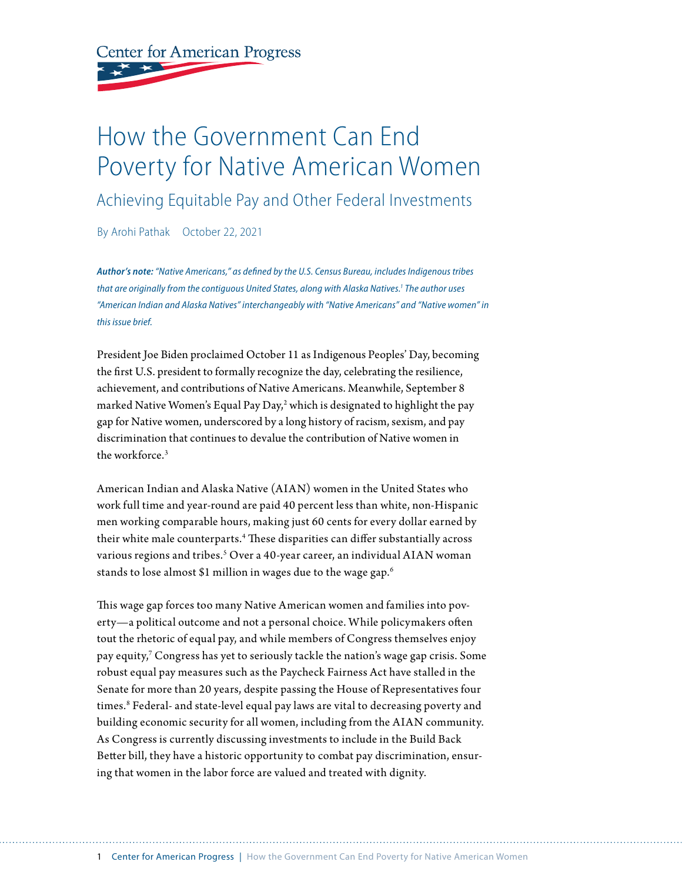**Center for American Progress** 

# How the Government Can End Poverty for Native American Women

Achieving Equitable Pay and Other Federal Investments

By Arohi Pathak October 22, 2021

*Author's note: "Native Americans," as defined by the U.S. Census Bureau, includes Indigenous tribes that are originally from the contiguous United States, along with Alaska Natives.1 The author uses "American Indian and Alaska Natives" interchangeably with "Native Americans" and "Native women" in this issue brief.*

President Joe Biden proclaimed October 11 as Indigenous Peoples' Day, becoming the first U.S. president to formally recognize the day, celebrating the resilience, achievement, and contributions of Native Americans. Meanwhile, September 8 marked Native Women's Equal Pay Day,<sup>2</sup> which is designated to highlight the pay gap for Native women, underscored by a long history of racism, sexism, and pay discrimination that continues to devalue the contribution of Native women in the workforce<sup>3</sup>

American Indian and Alaska Native (AIAN) women in the United States who work full time and year-round are paid 40 percent less than white, non-Hispanic men working comparable hours, making just 60 cents for every dollar earned by their white male counterparts.4 These disparities can differ substantially across various regions and tribes.<sup>5</sup> Over a 40-year career, an individual AIAN woman stands to lose almost \$1 million in wages due to the wage gap.<sup>6</sup>

This wage gap forces too many Native American women and families into poverty—a political outcome and not a personal choice. While policymakers often tout the rhetoric of equal pay, and while members of Congress themselves enjoy pay equity,7 Congress has yet to seriously tackle the nation's wage gap crisis. Some robust equal pay measures such as the Paycheck Fairness Act have stalled in the Senate for more than 20 years, despite passing the House of Representatives four times.<sup>8</sup> Federal- and state-level equal pay laws are vital to decreasing poverty and building economic security for all women, including from the AIAN community. As Congress is currently discussing investments to include in the Build Back Better bill, they have a historic opportunity to combat pay discrimination, ensuring that women in the labor force are valued and treated with dignity.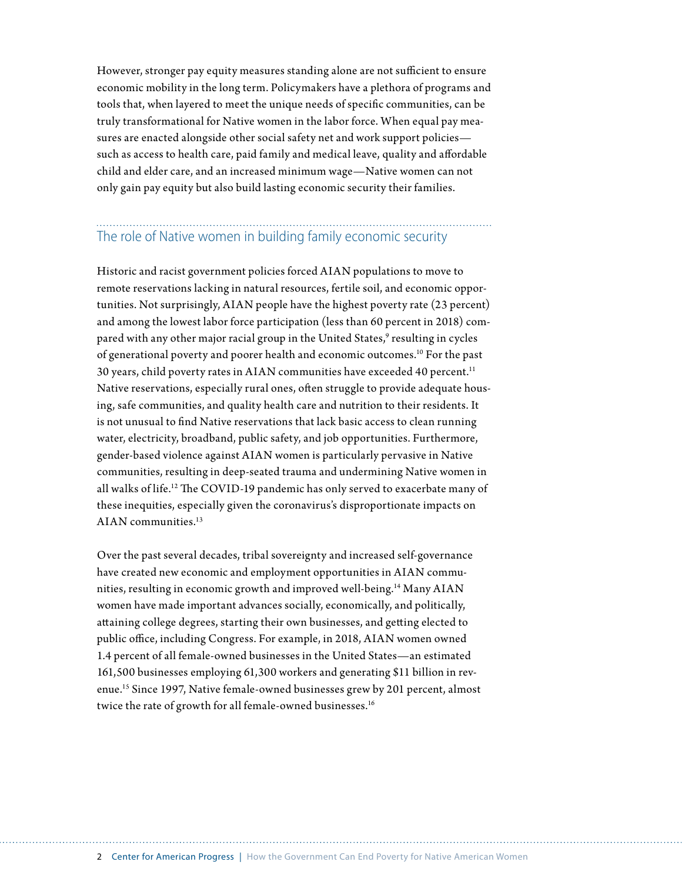However, stronger pay equity measures standing alone are not sufficient to ensure economic mobility in the long term. Policymakers have a plethora of programs and tools that, when layered to meet the unique needs of specific communities, can be truly transformational for Native women in the labor force. When equal pay measures are enacted alongside other social safety net and work support policies such as access to health care, paid family and medical leave, quality and affordable child and elder care, and an increased minimum wage—Native women can not only gain pay equity but also build lasting economic security their families.

## The role of Native women in building family economic security

Historic and racist government policies forced AIAN populations to move to remote reservations lacking in natural resources, fertile soil, and economic opportunities. Not surprisingly, AIAN people have the highest poverty rate (23 percent) and among the lowest labor force participation (less than 60 percent in 2018) compared with any other major racial group in the United States,<sup>9</sup> resulting in cycles of generational poverty and poorer health and economic outcomes.10 For the past 30 years, child poverty rates in AIAN communities have exceeded 40 percent.<sup>11</sup> Native reservations, especially rural ones, often struggle to provide adequate housing, safe communities, and quality health care and nutrition to their residents. It is not unusual to find Native reservations that lack basic access to clean running water, electricity, broadband, public safety, and job opportunities. Furthermore, gender-based violence against AIAN women is particularly pervasive in Native communities, resulting in deep-seated trauma and undermining Native women in all walks of life.12 The COVID-19 pandemic has only served to exacerbate many of these inequities, especially given the coronavirus's disproportionate impacts on AIAN communities.13

Over the past several decades, tribal sovereignty and increased self-governance have created new economic and employment opportunities in AIAN communities, resulting in economic growth and improved well-being.14 Many AIAN women have made important advances socially, economically, and politically, attaining college degrees, starting their own businesses, and getting elected to public office, including Congress. For example, in 2018, AIAN women owned 1.4 percent of all female-owned businesses in the United States—an estimated 161,500 businesses employing 61,300 workers and generating \$11 billion in revenue.15 Since 1997, Native female-owned businesses grew by 201 percent, almost twice the rate of growth for all female-owned businesses.<sup>16</sup>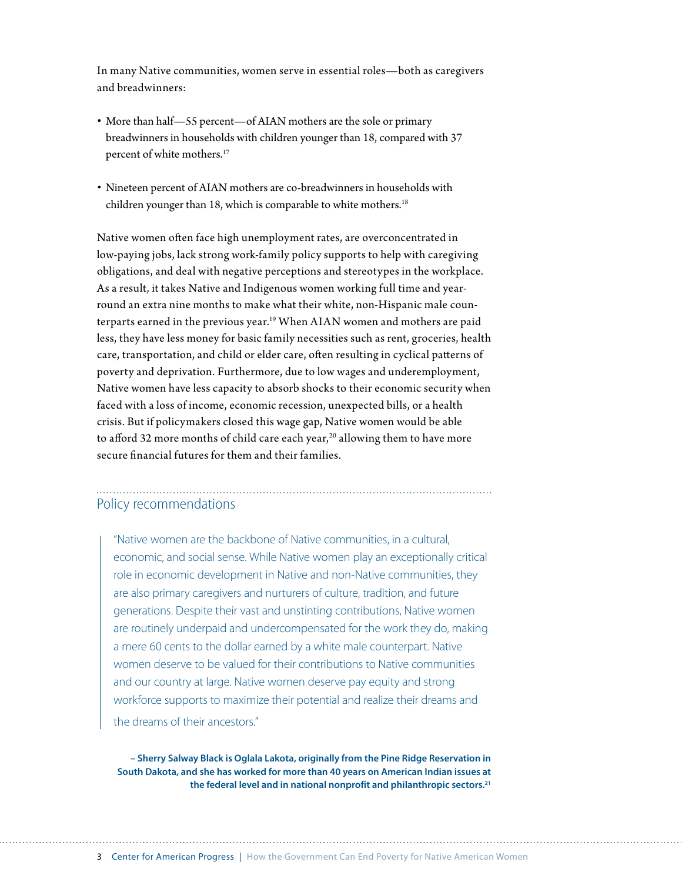In many Native communities, women serve in essential roles—both as caregivers and breadwinners:

- More than half—55 percent—of AIAN mothers are the sole or primary breadwinners in households with children younger than 18, compared with 37 percent of white mothers.<sup>17</sup>
- Nineteen percent of AIAN mothers are co-breadwinners in households with children younger than 18, which is comparable to white mothers.<sup>18</sup>

Native women often face high unemployment rates, are overconcentrated in low-paying jobs, lack strong work-family policy supports to help with caregiving obligations, and deal with negative perceptions and stereotypes in the workplace. As a result, it takes Native and Indigenous women working full time and yearround an extra nine months to make what their white, non-Hispanic male counterparts earned in the previous year.<sup>19</sup> When AIAN women and mothers are paid less, they have less money for basic family necessities such as rent, groceries, health care, transportation, and child or elder care, often resulting in cyclical patterns of poverty and deprivation. Furthermore, due to low wages and underemployment, Native women have less capacity to absorb shocks to their economic security when faced with a loss of income, economic recession, unexpected bills, or a health crisis. But if policymakers closed this wage gap, Native women would be able to afford 32 more months of child care each year,<sup>20</sup> allowing them to have more secure financial futures for them and their families.

### Policy recommendations

"Native women are the backbone of Native communities, in a cultural, economic, and social sense. While Native women play an exceptionally critical role in economic development in Native and non-Native communities, they are also primary caregivers and nurturers of culture, tradition, and future generations. Despite their vast and unstinting contributions, Native women are routinely underpaid and undercompensated for the work they do, making a mere 60 cents to the dollar earned by a white male counterpart. Native women deserve to be valued for their contributions to Native communities and our country at large. Native women deserve pay equity and strong workforce supports to maximize their potential and realize their dreams and the dreams of their ancestors."

**– Sherry Salway Black is Oglala Lakota, originally from the Pine Ridge Reservation in South Dakota, and she has worked for more than 40 years on American Indian issues at the federal level and in national nonprofit and philanthropic sectors.21**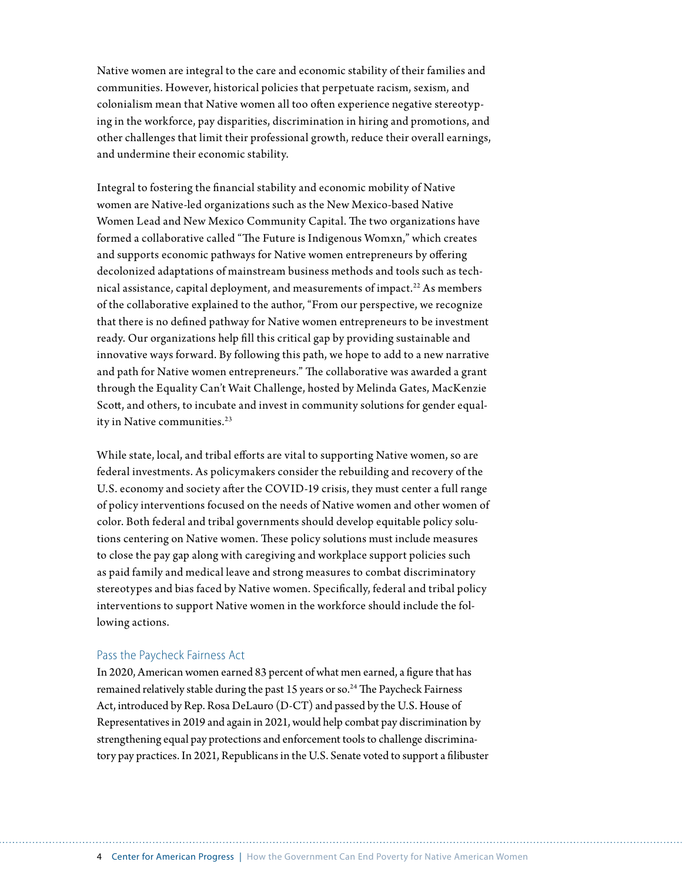Native women are integral to the care and economic stability of their families and communities. However, historical policies that perpetuate racism, sexism, and colonialism mean that Native women all too often experience negative stereotyping in the workforce, pay disparities, discrimination in hiring and promotions, and other challenges that limit their professional growth, reduce their overall earnings, and undermine their economic stability.

Integral to fostering the financial stability and economic mobility of Native women are Native-led organizations such as the New Mexico-based Native Women Lead and New Mexico Community Capital. The two organizations have formed a collaborative called "The Future is Indigenous Womxn," which creates and supports economic pathways for Native women entrepreneurs by offering decolonized adaptations of mainstream business methods and tools such as technical assistance, capital deployment, and measurements of impact.<sup>22</sup> As members of the collaborative explained to the author, "From our perspective, we recognize that there is no defined pathway for Native women entrepreneurs to be investment ready. Our organizations help fill this critical gap by providing sustainable and innovative ways forward. By following this path, we hope to add to a new narrative and path for Native women entrepreneurs." The collaborative was awarded a grant through the Equality Can't Wait Challenge, hosted by Melinda Gates, MacKenzie Scott, and others, to incubate and invest in community solutions for gender equality in Native communities.<sup>23</sup>

While state, local, and tribal efforts are vital to supporting Native women, so are federal investments. As policymakers consider the rebuilding and recovery of the U.S. economy and society after the COVID-19 crisis, they must center a full range of policy interventions focused on the needs of Native women and other women of color. Both federal and tribal governments should develop equitable policy solutions centering on Native women. These policy solutions must include measures to close the pay gap along with caregiving and workplace support policies such as paid family and medical leave and strong measures to combat discriminatory stereotypes and bias faced by Native women. Specifically, federal and tribal policy interventions to support Native women in the workforce should include the following actions.

#### Pass the Paycheck Fairness Act

In 2020, American women earned 83 percent of what men earned, a figure that has remained relatively stable during the past 15 years or so.<sup>24</sup> The Paycheck Fairness Act, introduced by Rep. Rosa DeLauro (D-CT) and passed by the U.S. House of Representatives in 2019 and again in 2021, would help combat pay discrimination by strengthening equal pay protections and enforcement tools to challenge discriminatory pay practices. In 2021, Republicans in the U.S. Senate voted to support a filibuster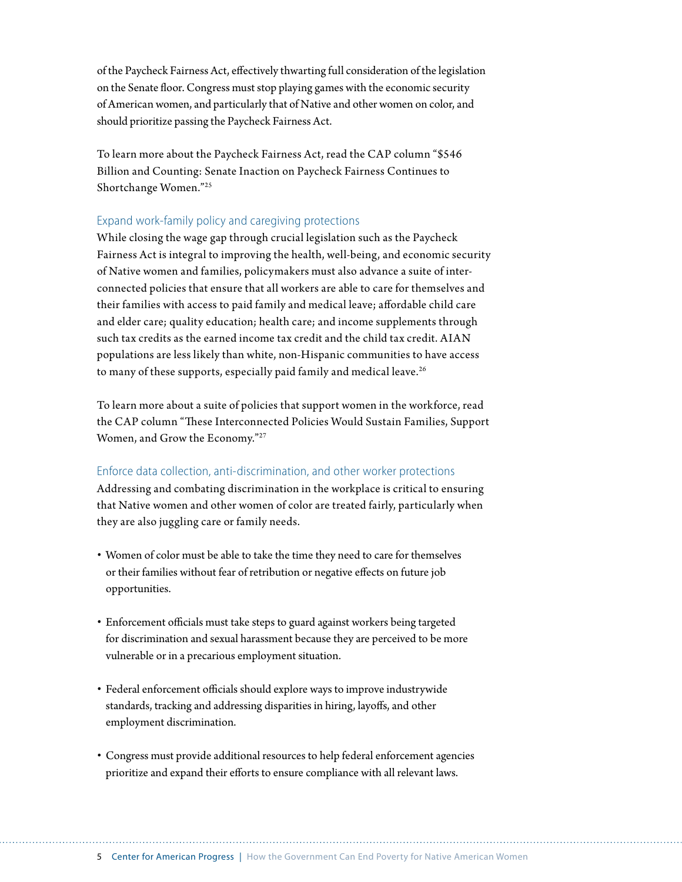of the Paycheck Fairness Act, effectively thwarting full consideration of the legislation on the Senate floor. Congress must stop playing games with the economic security of American women, and particularly that of Native and other women on color, and should prioritize passing the Paycheck Fairness Act.

To learn more about the Paycheck Fairness Act, read the CAP column "\$546 Billion and Counting: Senate Inaction on Paycheck Fairness Continues to Shortchange Women."25

#### Expand work-family policy and caregiving protections

While closing the wage gap through crucial legislation such as the Paycheck Fairness Act is integral to improving the health, well-being, and economic security of Native women and families, policymakers must also advance a suite of interconnected policies that ensure that all workers are able to care for themselves and their families with access to paid family and medical leave; affordable child care and elder care; quality education; health care; and income supplements through such tax credits as the earned income tax credit and the child tax credit. AIAN populations are less likely than white, non-Hispanic communities to have access to many of these supports, especially paid family and medical leave.<sup>26</sup>

To learn more about a suite of policies that support women in the workforce, read the CAP column "These Interconnected Policies Would Sustain Families, Support Women, and Grow the Economy."27

#### Enforce data collection, anti-discrimination, and other worker protections

Addressing and combating discrimination in the workplace is critical to ensuring that Native women and other women of color are treated fairly, particularly when they are also juggling care or family needs.

- Women of color must be able to take the time they need to care for themselves or their families without fear of retribution or negative effects on future job opportunities.
- Enforcement officials must take steps to guard against workers being targeted for discrimination and sexual harassment because they are perceived to be more vulnerable or in a precarious employment situation.
- Federal enforcement officials should explore ways to improve industrywide standards, tracking and addressing disparities in hiring, layoffs, and other employment discrimination.
- Congress must provide additional resources to help federal enforcement agencies prioritize and expand their efforts to ensure compliance with all relevant laws.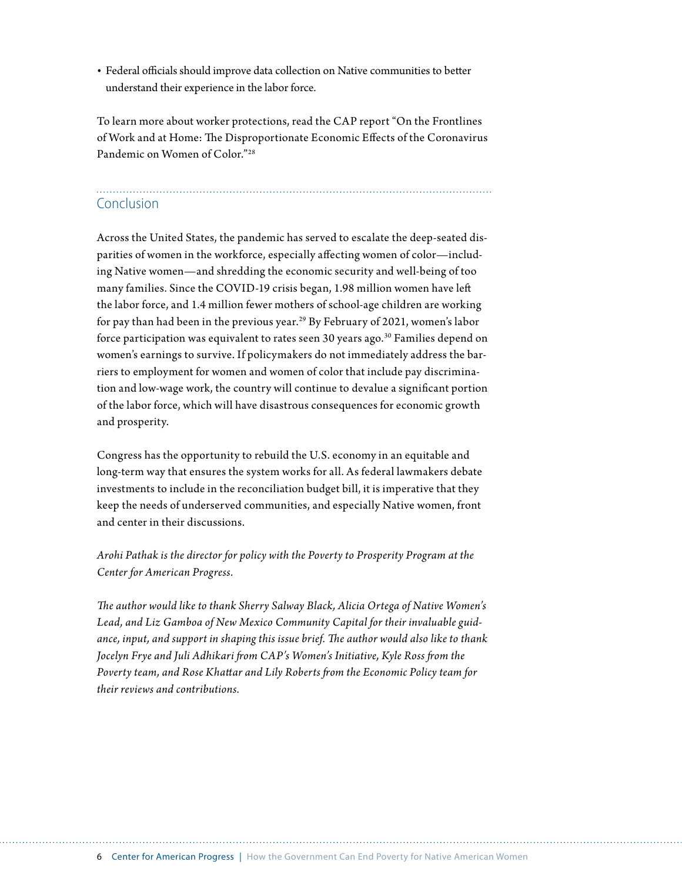• Federal officials should improve data collection on Native communities to better understand their experience in the labor force.

To learn more about worker protections, read the CAP report "On the Frontlines of Work and at Home: The Disproportionate Economic Effects of the Coronavirus Pandemic on Women of Color."28

# Conclusion

Across the United States, the pandemic has served to escalate the deep-seated disparities of women in the workforce, especially affecting women of color—including Native women—and shredding the economic security and well-being of too many families. Since the COVID-19 crisis began, 1.98 million women have left the labor force, and 1.4 million fewer mothers of school-age children are working for pay than had been in the previous year.<sup>29</sup> By February of 2021, women's labor force participation was equivalent to rates seen 30 years ago.30 Families depend on women's earnings to survive. If policymakers do not immediately address the barriers to employment for women and women of color that include pay discrimination and low-wage work, the country will continue to devalue a significant portion of the labor force, which will have disastrous consequences for economic growth and prosperity.

Congress has the opportunity to rebuild the U.S. economy in an equitable and long-term way that ensures the system works for all. As federal lawmakers debate investments to include in the reconciliation budget bill, it is imperative that they keep the needs of underserved communities, and especially Native women, front and center in their discussions.

*Arohi Pathak is the director for policy with the Poverty to Prosperity Program at the Center for American Progress.*

*The author would like to thank Sherry Salway Black, Alicia Ortega of Native Women's Lead, and Liz Gamboa of New Mexico Community Capital for their invaluable guidance, input, and support in shaping this issue brief. The author would also like to thank Jocelyn Frye and Juli Adhikari from CAP's Women's Initiative, Kyle Ross from the Poverty team, and Rose Khattar and Lily Roberts from the Economic Policy team for their reviews and contributions.*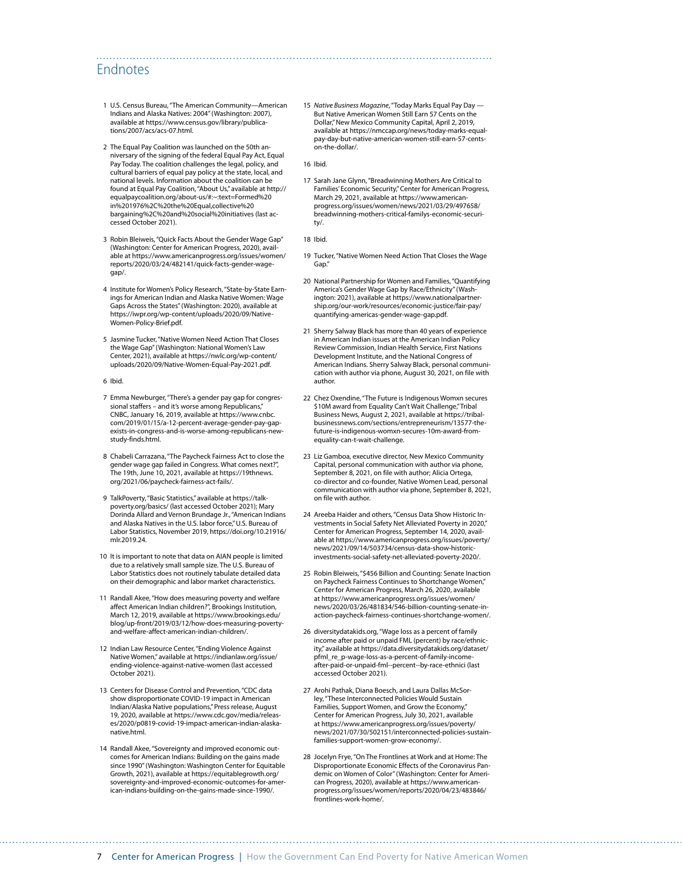### Endnotes

- 1 U.S. Census Bureau, "The American Community—American Indians and Alaska Natives: 2004" (Washington: 2007), available at [https://www.census.gov/library/publica](https://www.census.gov/library/publications/2007/acs/acs-07.html)[tions/2007/acs/acs-07.html](https://www.census.gov/library/publications/2007/acs/acs-07.html).
- 2 The Equal Pay Coalition was launched on the 50th anniversary of the signing of the federal Equal Pay Act, Equal Pay Today. The coalition challenges the legal, policy, and cultural barriers of equal pay policy at the state, local, and national levels. Information about the coalition can be found at Equal Pay Coalition, "About Us," available at [http://](http://equalpaycoalition.org/about-us/#:~:text=Formed%20in%201976%2C%20the%20Equal,collective%20bargaining%2C%20and%20social%20initiatives) [equalpaycoalition.org/about-us/#:~:text=Formed%20](http://equalpaycoalition.org/about-us/#:~:text=Formed%20in%201976%2C%20the%20Equal,collective%20bargaining%2C%20and%20social%20initiatives) [in%201976%2C%20the%20Equal,collective%20](http://equalpaycoalition.org/about-us/#:~:text=Formed%20in%201976%2C%20the%20Equal,collective%20bargaining%2C%20and%20social%20initiatives) [bargaining%2C%20and%20social%20initiatives](http://equalpaycoalition.org/about-us/#:~:text=Formed%20in%201976%2C%20the%20Equal,collective%20bargaining%2C%20and%20social%20initiatives) (last accessed October 2021).
- 3 Robin Bleiweis, "Quick Facts About the Gender Wage Gap" (Washington: Center for American Progress, 2020), available at [https://www.americanprogress.org/issues/women/](https://www.americanprogress.org/issues/women/reports/2020/03/24/482141/quick-facts-gender-wage-gap/) [reports/2020/03/24/482141/quick-facts-gender-wage](https://www.americanprogress.org/issues/women/reports/2020/03/24/482141/quick-facts-gender-wage-gap/)[gap/.](https://www.americanprogress.org/issues/women/reports/2020/03/24/482141/quick-facts-gender-wage-gap/)
- 4 Institute for Women's Policy Research, "State-by-State Earnings for American Indian and Alaska Native Women: Wage Gaps Across the States" (Washington: 2020), available at [https://iwpr.org/wp-content/uploads/2020/09/Native-](https://iwpr.org/wp-content/uploads/2020/09/Native-Women-Policy-Brief.pdf)[Women-Policy-Brief.pdf.](https://iwpr.org/wp-content/uploads/2020/09/Native-Women-Policy-Brief.pdf)
- 5 Jasmine Tucker, "Native Women Need Action That Closes the Wage Gap" (Washington: National Women's Law Center, 2021), available at [https://nwlc.org/wp-content/](https://nwlc.org/wp-content/uploads/2020/09/Native-Women-Equal-Pay-2021.pdf) [uploads/2020/09/Native-Women-Equal-Pay-2021.pdf](https://nwlc.org/wp-content/uploads/2020/09/Native-Women-Equal-Pay-2021.pdf).
- 6 Ibid.
- 7 Emma Newburger, "There's a gender pay gap for congressional staffers – and it's worse among Republicans," CNBC, January 16, 2019, available at [https://www.cnbc.](https://www.cnbc.com/2019/01/15/a-12-percent-average-gender-pay-gap-exists-in-congress-and-is-worse-among-republicans-new-study-finds.html) [com/2019/01/15/a-12-percent-average-gender-pay-gap](https://www.cnbc.com/2019/01/15/a-12-percent-average-gender-pay-gap-exists-in-congress-and-is-worse-among-republicans-new-study-finds.html)[exists-in-congress-and-is-worse-among-republicans-new](https://www.cnbc.com/2019/01/15/a-12-percent-average-gender-pay-gap-exists-in-congress-and-is-worse-among-republicans-new-study-finds.html)[study-finds.html](https://www.cnbc.com/2019/01/15/a-12-percent-average-gender-pay-gap-exists-in-congress-and-is-worse-among-republicans-new-study-finds.html).
- 8 Chabeli Carrazana, "The Paycheck Fairness Act to close the gender wage gap failed in Congress. What comes next?", The 19th, June 10, 2021, available at [https://19thnews.](https://19thnews.org/2021/06/paycheck-fairness-act-fails/) [org/2021/06/paycheck-fairness-act-fails/](https://19thnews.org/2021/06/paycheck-fairness-act-fails/).
- 9 TalkPoverty, "Basic Statistics," available at [https://talk](https://talkpoverty.org/basics/)[poverty.org/basics/](https://talkpoverty.org/basics/) (last accessed October 2021); Mary Dorinda Allard and Vernon Brundage Jr., "American Indians and Alaska Natives in the U.S. labor force," U.S. Bureau of Labor Statistics, November 2019, [https://doi.org/10.21916/](https://doi.org/10.21916/mlr.2019.24) [mlr.2019.24](https://doi.org/10.21916/mlr.2019.24)
- 10 It is important to note that data on AIAN people is limited due to a relatively small sample size. The U.S. Bureau of Labor Statistics does not routinely tabulate detailed data on their demographic and labor market characteristics.
- 11 Randall Akee, "How does measuring poverty and welfare affect American Indian children?", Brookings Institution, March 12, 2019, available at [https://www.brookings.edu/](https://www.brookings.edu/blog/up-front/2019/03/12/how-does-measuring-poverty-and-welfare-affect-american-indian-children/) [blog/up-front/2019/03/12/how-does-measuring-poverty](https://www.brookings.edu/blog/up-front/2019/03/12/how-does-measuring-poverty-and-welfare-affect-american-indian-children/)[and-welfare-affect-american-indian-children/](https://www.brookings.edu/blog/up-front/2019/03/12/how-does-measuring-poverty-and-welfare-affect-american-indian-children/).
- 12 Indian Law Resource Center, "Ending Violence Against Native Women," available at [https://indianlaw.org/issue/](https://indianlaw.org/issue/ending-violence-against-native-women) [ending-violence-against-native-women](https://indianlaw.org/issue/ending-violence-against-native-women) (last accessed October 2021).
- 13 Centers for Disease Control and Prevention, "CDC data show disproportionate COVID-19 impact in American Indian/Alaska Native populations," Press release, August 19, 2020, available at [https://www.cdc.gov/media/releas](https://www.cdc.gov/media/releases/2020/p0819-covid-19-impact-american-indian-alaska-native.html)[es/2020/p0819-covid-19-impact-american-indian-alaska](https://www.cdc.gov/media/releases/2020/p0819-covid-19-impact-american-indian-alaska-native.html)[native.html.](https://www.cdc.gov/media/releases/2020/p0819-covid-19-impact-american-indian-alaska-native.html)
- 14 Randall Akee, "Sovereignty and improved economic outcomes for American Indians: Building on the gains made since 1990" (Washington: Washington Center for Equitable Growth, 2021), available at [https://equitablegrowth.org/](https://equitablegrowth.org/sovereignty-and-improved-economic-outcomes-for-american-indians-building-on-the-gains-made-since-1990/) [sovereignty-and-improved-economic-outcomes-for-amer](https://equitablegrowth.org/sovereignty-and-improved-economic-outcomes-for-american-indians-building-on-the-gains-made-since-1990/)[ican-indians-building-on-the-gains-made-since-1990/.](https://equitablegrowth.org/sovereignty-and-improved-economic-outcomes-for-american-indians-building-on-the-gains-made-since-1990/)

15 *Native Business Magazine*, "Today Marks Equal Pay Day — But Native American Women Still Earn 57 Cents on the Dollar," New Mexico Community Capital, April 2, 2019, available at [https://nmccap.org/news/today-marks-equal](https://nmccap.org/news/today-marks-equal-pay-day-but-native-american-women-still-earn-57-cents-on-the-dollar/)[pay-day-but-native-american-women-still-earn-57-cents](https://nmccap.org/news/today-marks-equal-pay-day-but-native-american-women-still-earn-57-cents-on-the-dollar/)[on-the-dollar/](https://nmccap.org/news/today-marks-equal-pay-day-but-native-american-women-still-earn-57-cents-on-the-dollar/).

16 Ibid.

17 Sarah Jane Glynn, "Breadwinning Mothers Are Critical to Families' Economic Security," Center for American Progress, March 29, 2021, available at [https://www.american](https://www.americanprogress.org/issues/women/news/2021/03/29/497658/breadwinning-mothers-critical-familys-economic-security/)[progress.org/issues/women/news/2021/03/29/497658/](https://www.americanprogress.org/issues/women/news/2021/03/29/497658/breadwinning-mothers-critical-familys-economic-security/) [breadwinning-mothers-critical-familys-economic-securi](https://www.americanprogress.org/issues/women/news/2021/03/29/497658/breadwinning-mothers-critical-familys-economic-security/)[ty/.](https://www.americanprogress.org/issues/women/news/2021/03/29/497658/breadwinning-mothers-critical-familys-economic-security/)

18 Ibid.

- 19 Tucker, "Native Women Need Action That Closes the Wage Gap."
- 20 National Partnership for Women and Families, "Quantifying America's Gender Wage Gap by Race/Ethnicity" (Washington: 2021), available at [https://www.nationalpartner](https://www.nationalpartnership.org/our-work/resources/economic-justice/fair-pay/quantifying-americas-gender-wage-gap.pdf)[ship.org/our-work/resources/economic-justice/fair-pay/](https://www.nationalpartnership.org/our-work/resources/economic-justice/fair-pay/quantifying-americas-gender-wage-gap.pdf) [quantifying-americas-gender-wage-gap.pdf.](https://www.nationalpartnership.org/our-work/resources/economic-justice/fair-pay/quantifying-americas-gender-wage-gap.pdf)
- 21 Sherry Salway Black has more than 40 years of experience in American Indian issues at the American Indian Policy Review Commission, Indian Health Service, First Nations Development Institute, and the National Congress of American Indians. Sherry Salway Black, personal communication with author via phone, August 30, 2021, on file with author.
- 22 Chez Oxendine, "The Future is Indigenous Womxn secures \$10M award from Equality Can't Wait Challenge," Tribal Business News, August 2, 2021, available at [https://tribal](https://tribalbusinessnews.com/sections/entrepreneurism/13577-the-future-is-indigenous-womxn-secures-10m-award-from-equality-can-t-wait-challenge)[businessnews.com/sections/entrepreneurism/13577-the](https://tribalbusinessnews.com/sections/entrepreneurism/13577-the-future-is-indigenous-womxn-secures-10m-award-from-equality-can-t-wait-challenge)[future-is-indigenous-womxn-secures-10m-award-from](https://tribalbusinessnews.com/sections/entrepreneurism/13577-the-future-is-indigenous-womxn-secures-10m-award-from-equality-can-t-wait-challenge)[equality-can-t-wait-challenge.](https://tribalbusinessnews.com/sections/entrepreneurism/13577-the-future-is-indigenous-womxn-secures-10m-award-from-equality-can-t-wait-challenge)
- 23 Liz Gamboa, executive director, New Mexico Community Capital, personal communication with author via phone, September 8, 2021, on file with author; Alicia Ortega, co-director and co-founder, Native Women Lead, personal communication with author via phone, September 8, 2021, on file with author.
- 24 Areeba Haider and others, "Census Data Show Historic Investments in Social Safety Net Alleviated Poverty in 2020," Center for American Progress, September 14, 2020, available at [https://www.americanprogress.org/issues/poverty/](https://www.americanprogress.org/issues/poverty/news/2021/09/14/503734/census-data-show-historic-investments-social-safety-net-alleviated-poverty-2020/) [news/2021/09/14/503734/census-data-show-historic](https://www.americanprogress.org/issues/poverty/news/2021/09/14/503734/census-data-show-historic-investments-social-safety-net-alleviated-poverty-2020/)[investments-social-safety-net-alleviated-poverty-2020/](https://www.americanprogress.org/issues/poverty/news/2021/09/14/503734/census-data-show-historic-investments-social-safety-net-alleviated-poverty-2020/).
- 25 Robin Bleiweis, "\$456 Billion and Counting: Senate Inaction on Paycheck Fairness Continues to Shortchange Women," Center for American Progress, March 26, 2020, available at [https://www.americanprogress.org/issues/women/](https://www.americanprogress.org/issues/women/news/2020/03/26/481834/546-billion-counting-senate-inaction-paycheck-fairness-continues-shortchange-women/) [news/2020/03/26/481834/546-billion-counting-senate-in](https://www.americanprogress.org/issues/women/news/2020/03/26/481834/546-billion-counting-senate-inaction-paycheck-fairness-continues-shortchange-women/)[action-paycheck-fairness-continues-shortchange-women/](https://www.americanprogress.org/issues/women/news/2020/03/26/481834/546-billion-counting-senate-inaction-paycheck-fairness-continues-shortchange-women/).
- 26 diversitydatakids.org, "Wage loss as a percent of family income after paid or unpaid FML (percent) by race/ethnicity," available at [https://data.diversitydatakids.org/dataset/](https://data.diversitydatakids.org/dataset/pfml_re_p-wage-loss-as-a-percent-of-family-income-after-paid-or-unpaid-fml--percent--by-race-ethnici) [pfml\\_re\\_p-wage-loss-as-a-percent-of-family-income](https://data.diversitydatakids.org/dataset/pfml_re_p-wage-loss-as-a-percent-of-family-income-after-paid-or-unpaid-fml--percent--by-race-ethnici)[after-paid-or-unpaid-fml--percent--by-race-ethnici](https://data.diversitydatakids.org/dataset/pfml_re_p-wage-loss-as-a-percent-of-family-income-after-paid-or-unpaid-fml--percent--by-race-ethnici) (last accessed October 2021).
- 27 Arohi Pathak, Diana Boesch, and Laura Dallas McSorley, "These Interconnected Policies Would Sustain Families, Support Women, and Grow the Economy, Center for American Progress, July 30, 2021, available at [https://www.americanprogress.org/issues/poverty/](https://www.americanprogress.org/issues/poverty/news/2021/07/30/502151/interconnected-policies-sustain-families-support-women-grow-economy/) [news/2021/07/30/502151/interconnected-policies-sustain](https://www.americanprogress.org/issues/poverty/news/2021/07/30/502151/interconnected-policies-sustain-families-support-women-grow-economy/)[families-support-women-grow-economy/.](https://www.americanprogress.org/issues/poverty/news/2021/07/30/502151/interconnected-policies-sustain-families-support-women-grow-economy/)
- 28 Jocelyn Frye, "On The Frontlines at Work and at Home: The Disproportionate Economic Effects of the Coronavirus Pan-demic on Women of Color" (Washington: Center for American Progress, 2020), available at [https://www.american](https://www.americanprogress.org/issues/women/reports/2020/04/23/483846/frontlines-work-home/)[progress.org/issues/women/reports/2020/04/23/483846/](https://www.americanprogress.org/issues/women/reports/2020/04/23/483846/frontlines-work-home/) [frontlines-work-home/](https://www.americanprogress.org/issues/women/reports/2020/04/23/483846/frontlines-work-home/).